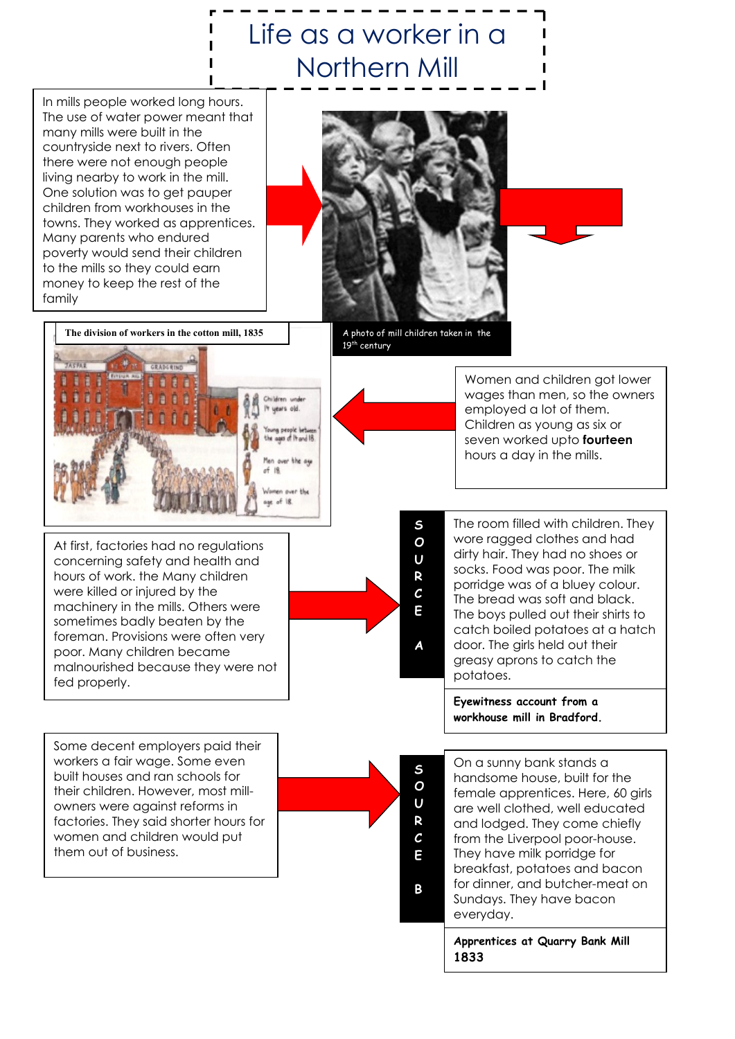# Life as a worker in a Northern Mill

 In mills people worked long hours. The use of water power meant that many mills were built in the countryside next to rivers. Often there were not enough people living nearby to work in the mill. One solution was to get pauper children from workhouses in the towns. They worked as apprentices. Many parents who endured poverty would send their children to the mills so they could earn money to keep the rest of the family

 $\overline{a}$ 



A photo of mill children taken in the 19<sup>th</sup> century

S

 S O U R  $\mathcal{C}_{0}$ E

B



 concerning safety and health and At first, factories had no regulations hours of work. the Many children were killed or injured by the machinery in the mills. Others were sometimes badly beaten by the foreman. Provisions were often very poor. Many children became malnourished because they were not fed properly.

Some decent employers paid their workers a fair wage. Some even built houses and ran schools for their children. However, most millowners were against reforms in factories. They said shorter hours for women and children would put them out of business.



Women and children got lower wages than men, so the owners employed a lot of them. Children as young as six or seven worked upto **fourteen** hours a day in the mills.

The room filled with children. They wore ragged clothes and had dirty hair. They had no shoes or socks. Food was poor. The milk porridge was of a bluey colour. The bread was soft and black. The boys pulled out their shirts to catch boiled potatoes at a hatch door. The girls held out their greasy aprons to catch the potatoes.

Eyewitness account from a workhouse mill in Bradford.

On a sunny bank stands a handsome house, built for the female apprentices. Here, 60 girls are well clothed, well educated and lodged. They come chiefly from the Liverpool poor-house. They have milk porridge for breakfast, potatoes and bacon for dinner, and butcher-meat on Sundays. They have bacon everyday.

Apprentices at Quarry Bank Mill 1833